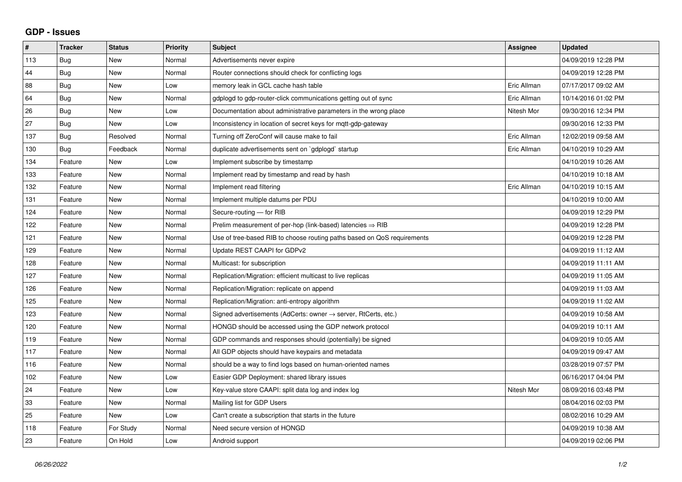## **GDP - Issues**

| #   | <b>Tracker</b> | <b>Status</b> | Priority | <b>Subject</b>                                                             | Assignee    | <b>Updated</b>      |
|-----|----------------|---------------|----------|----------------------------------------------------------------------------|-------------|---------------------|
| 113 | Bug            | <b>New</b>    | Normal   | Advertisements never expire                                                |             | 04/09/2019 12:28 PM |
| 44  | Bug            | <b>New</b>    | Normal   | Router connections should check for conflicting logs                       |             | 04/09/2019 12:28 PM |
| 88  | <b>Bug</b>     | <b>New</b>    | Low      | memory leak in GCL cache hash table                                        | Eric Allman | 07/17/2017 09:02 AM |
| 64  | Bug            | <b>New</b>    | Normal   | gdplogd to gdp-router-click communications getting out of sync             | Eric Allman | 10/14/2016 01:02 PM |
| 26  | Bug            | <b>New</b>    | Low      | Documentation about administrative parameters in the wrong place           | Nitesh Mor  | 09/30/2016 12:34 PM |
| 27  | <b>Bug</b>     | <b>New</b>    | Low      | Inconsistency in location of secret keys for mqtt-gdp-gateway              |             | 09/30/2016 12:33 PM |
| 137 | <b>Bug</b>     | Resolved      | Normal   | Turning off ZeroConf will cause make to fail                               | Eric Allman | 12/02/2019 09:58 AM |
| 130 | Bug            | Feedback      | Normal   | duplicate advertisements sent on `gdplogd` startup                         | Eric Allman | 04/10/2019 10:29 AM |
| 134 | Feature        | <b>New</b>    | Low      | Implement subscribe by timestamp                                           |             | 04/10/2019 10:26 AM |
| 133 | Feature        | <b>New</b>    | Normal   | Implement read by timestamp and read by hash                               |             | 04/10/2019 10:18 AM |
| 132 | Feature        | <b>New</b>    | Normal   | Implement read filtering                                                   | Eric Allman | 04/10/2019 10:15 AM |
| 131 | Feature        | <b>New</b>    | Normal   | Implement multiple datums per PDU                                          |             | 04/10/2019 10:00 AM |
| 124 | Feature        | <b>New</b>    | Normal   | Secure-routing - for RIB                                                   |             | 04/09/2019 12:29 PM |
| 122 | Feature        | <b>New</b>    | Normal   | Prelim measurement of per-hop (link-based) latencies $\Rightarrow$ RIB     |             | 04/09/2019 12:28 PM |
| 121 | Feature        | <b>New</b>    | Normal   | Use of tree-based RIB to choose routing paths based on QoS requirements    |             | 04/09/2019 12:28 PM |
| 129 | Feature        | <b>New</b>    | Normal   | Update REST CAAPI for GDPv2                                                |             | 04/09/2019 11:12 AM |
| 128 | Feature        | <b>New</b>    | Normal   | Multicast: for subscription                                                |             | 04/09/2019 11:11 AM |
| 127 | Feature        | New           | Normal   | Replication/Migration: efficient multicast to live replicas                |             | 04/09/2019 11:05 AM |
| 126 | Feature        | <b>New</b>    | Normal   | Replication/Migration: replicate on append                                 |             | 04/09/2019 11:03 AM |
| 125 | Feature        | <b>New</b>    | Normal   | Replication/Migration: anti-entropy algorithm                              |             | 04/09/2019 11:02 AM |
| 123 | Feature        | <b>New</b>    | Normal   | Signed advertisements (AdCerts: owner $\rightarrow$ server, RtCerts, etc.) |             | 04/09/2019 10:58 AM |
| 120 | Feature        | <b>New</b>    | Normal   | HONGD should be accessed using the GDP network protocol                    |             | 04/09/2019 10:11 AM |
| 119 | Feature        | New           | Normal   | GDP commands and responses should (potentially) be signed                  |             | 04/09/2019 10:05 AM |
| 117 | Feature        | New           | Normal   | All GDP objects should have keypairs and metadata                          |             | 04/09/2019 09:47 AM |
| 116 | Feature        | <b>New</b>    | Normal   | should be a way to find logs based on human-oriented names                 |             | 03/28/2019 07:57 PM |
| 102 | Feature        | <b>New</b>    | Low      | Easier GDP Deployment: shared library issues                               |             | 06/16/2017 04:04 PM |
| 24  | Feature        | <b>New</b>    | Low      | Key-value store CAAPI: split data log and index log                        | Nitesh Mor  | 08/09/2016 03:48 PM |
| 33  | Feature        | <b>New</b>    | Normal   | Mailing list for GDP Users                                                 |             | 08/04/2016 02:03 PM |
| 25  | Feature        | <b>New</b>    | Low      | Can't create a subscription that starts in the future                      |             | 08/02/2016 10:29 AM |
| 118 | Feature        | For Study     | Normal   | Need secure version of HONGD                                               |             | 04/09/2019 10:38 AM |
| 23  | Feature        | On Hold       | Low      | Android support                                                            |             | 04/09/2019 02:06 PM |